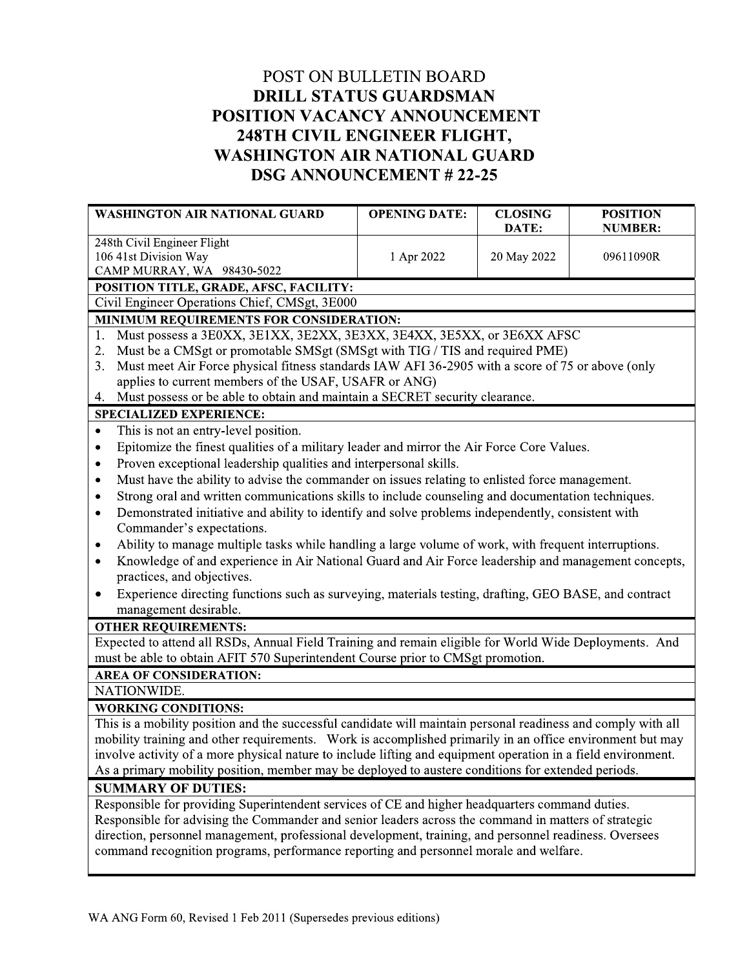## POST ON BULLETIN BOARD **DRILL STATUS GUARDSMAN** POSITION VACANCY ANNOUNCEMENT 248TH CIVIL ENGINEER FLIGHT, **WASHINGTON AIR NATIONAL GUARD DSG ANNOUNCEMENT #22-25**

| <b>WASHINGTON AIR NATIONAL GUARD</b>                                                                             | <b>OPENING DATE:</b> | <b>CLOSING</b> | <b>POSITION</b> |  |
|------------------------------------------------------------------------------------------------------------------|----------------------|----------------|-----------------|--|
| 248th Civil Engineer Flight                                                                                      |                      | DATE:          | <b>NUMBER:</b>  |  |
| 106 41st Division Way                                                                                            | 1 Apr 2022           | 20 May 2022    | 09611090R       |  |
| CAMP MURRAY, WA 98430-5022                                                                                       |                      |                |                 |  |
| POSITION TITLE, GRADE, AFSC, FACILITY:                                                                           |                      |                |                 |  |
| Civil Engineer Operations Chief, CMSgt, 3E000                                                                    |                      |                |                 |  |
| MINIMUM REQUIREMENTS FOR CONSIDERATION:                                                                          |                      |                |                 |  |
| Must possess a 3E0XX, 3E1XX, 3E2XX, 3E3XX, 3E4XX, 3E5XX, or 3E6XX AFSC<br>1.                                     |                      |                |                 |  |
| Must be a CMSgt or promotable SMSgt (SMSgt with TIG / TIS and required PME)<br>2.                                |                      |                |                 |  |
| Must meet Air Force physical fitness standards IAW AFI 36-2905 with a score of 75 or above (only<br>3.           |                      |                |                 |  |
| applies to current members of the USAF, USAFR or ANG)                                                            |                      |                |                 |  |
| Must possess or be able to obtain and maintain a SECRET security clearance.<br>4.                                |                      |                |                 |  |
| <b>SPECIALIZED EXPERIENCE:</b>                                                                                   |                      |                |                 |  |
| This is not an entry-level position.<br>$\bullet$                                                                |                      |                |                 |  |
| Epitomize the finest qualities of a military leader and mirror the Air Force Core Values.<br>$\bullet$           |                      |                |                 |  |
| Proven exceptional leadership qualities and interpersonal skills.<br>$\bullet$                                   |                      |                |                 |  |
| Must have the ability to advise the commander on issues relating to enlisted force management.<br>٠              |                      |                |                 |  |
| Strong oral and written communications skills to include counseling and documentation techniques.<br>٠           |                      |                |                 |  |
| Demonstrated initiative and ability to identify and solve problems independently, consistent with<br>$\bullet$   |                      |                |                 |  |
| Commander's expectations.                                                                                        |                      |                |                 |  |
| Ability to manage multiple tasks while handling a large volume of work, with frequent interruptions.<br>٠        |                      |                |                 |  |
| Knowledge of and experience in Air National Guard and Air Force leadership and management concepts,<br>$\bullet$ |                      |                |                 |  |
| practices, and objectives.                                                                                       |                      |                |                 |  |
| Experience directing functions such as surveying, materials testing, drafting, GEO BASE, and contract<br>٠       |                      |                |                 |  |
| management desirable.                                                                                            |                      |                |                 |  |
| <b>OTHER REQUIREMENTS:</b>                                                                                       |                      |                |                 |  |
| Expected to attend all RSDs, Annual Field Training and remain eligible for World Wide Deployments. And           |                      |                |                 |  |
| must be able to obtain AFIT 570 Superintendent Course prior to CMSgt promotion.                                  |                      |                |                 |  |
| <b>AREA OF CONSIDERATION:</b>                                                                                    |                      |                |                 |  |
| NATIONWIDE.                                                                                                      |                      |                |                 |  |
| <b>WORKING CONDITIONS:</b>                                                                                       |                      |                |                 |  |
| This is a mobility position and the successful candidate will maintain personal readiness and comply with all    |                      |                |                 |  |
| mobility training and other requirements. Work is accomplished primarily in an office environment but may        |                      |                |                 |  |
| involve activity of a more physical nature to include lifting and equipment operation in a field environment.    |                      |                |                 |  |
| As a primary mobility position, member may be deployed to austere conditions for extended periods.               |                      |                |                 |  |
| <b>SUMMARY OF DUTIES:</b>                                                                                        |                      |                |                 |  |
| Responsible for providing Superintendent services of CE and higher headquarters command duties.                  |                      |                |                 |  |
| Responsible for advising the Commander and senior leaders across the command in matters of strategic             |                      |                |                 |  |
| direction, personnel management, professional development, training, and personnel readiness. Oversees           |                      |                |                 |  |
| command recognition programs, performance reporting and personnel morale and welfare.                            |                      |                |                 |  |